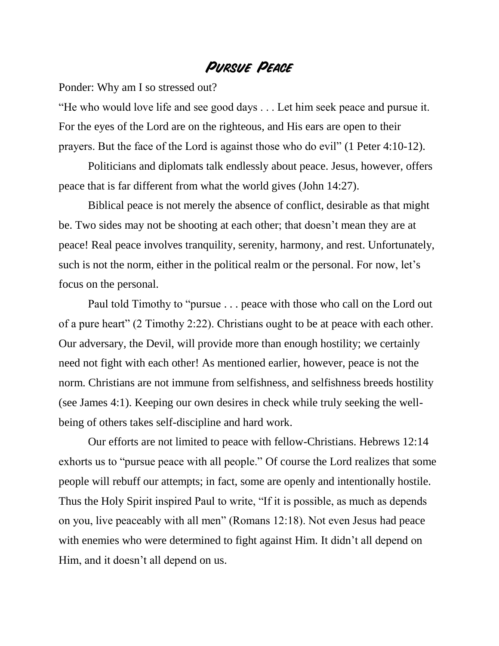## **Pursue Peace**

Ponder: Why am I so stressed out?

"He who would love life and see good days . . . Let him seek peace and pursue it. For the eyes of the Lord are on the righteous, and His ears are open to their prayers. But the face of the Lord is against those who do evil" (1 Peter 4:10-12).

Politicians and diplomats talk endlessly about peace. Jesus, however, offers peace that is far different from what the world gives (John 14:27).

Biblical peace is not merely the absence of conflict, desirable as that might be. Two sides may not be shooting at each other; that doesn't mean they are at peace! Real peace involves tranquility, serenity, harmony, and rest. Unfortunately, such is not the norm, either in the political realm or the personal. For now, let's focus on the personal.

Paul told Timothy to "pursue . . . peace with those who call on the Lord out of a pure heart" (2 Timothy 2:22). Christians ought to be at peace with each other. Our adversary, the Devil, will provide more than enough hostility; we certainly need not fight with each other! As mentioned earlier, however, peace is not the norm. Christians are not immune from selfishness, and selfishness breeds hostility (see James 4:1). Keeping our own desires in check while truly seeking the wellbeing of others takes self-discipline and hard work.

Our efforts are not limited to peace with fellow-Christians. Hebrews 12:14 exhorts us to "pursue peace with all people." Of course the Lord realizes that some people will rebuff our attempts; in fact, some are openly and intentionally hostile. Thus the Holy Spirit inspired Paul to write, "If it is possible, as much as depends on you, live peaceably with all men" (Romans 12:18). Not even Jesus had peace with enemies who were determined to fight against Him. It didn't all depend on Him, and it doesn't all depend on us.